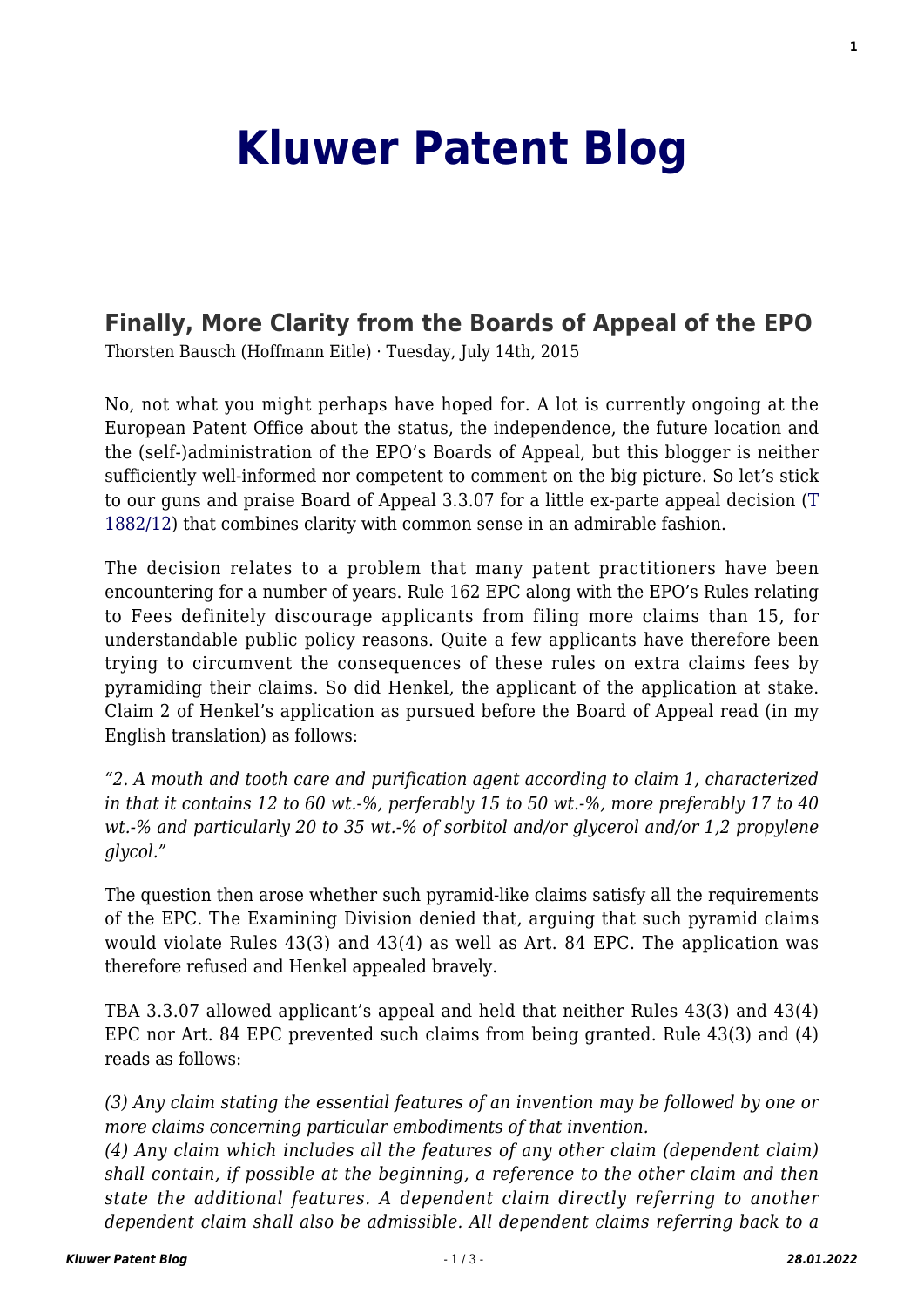# **[Kluwer Patent Blog](http://patentblog.kluweriplaw.com/)**

## **[Finally, More Clarity from the Boards of Appeal of the EPO](http://patentblog.kluweriplaw.com/2015/07/14/finally-more-clarity-from-the-boards-of-appeal-of-the-epo/)**

Thorsten Bausch (Hoffmann Eitle) · Tuesday, July 14th, 2015

No, not what you might perhaps have hoped for. A lot is currently ongoing at the European Patent Office about the status, the independence, the future location and the (self-)administration of the EPO's Boards of Appeal, but this blogger is neither sufficiently well-informed nor competent to comment on the big picture. So let's stick to our guns and praise Board of Appeal 3.3.07 for a little ex-parte appeal decision ([T](http://www.epo.org/law-practice/case-law-appeals/pdf/t121882du1.pdf) [1882/12\)](http://www.epo.org/law-practice/case-law-appeals/pdf/t121882du1.pdf) that combines clarity with common sense in an admirable fashion.

The decision relates to a problem that many patent practitioners have been encountering for a number of years. Rule 162 EPC along with the EPO's Rules relating to Fees definitely discourage applicants from filing more claims than 15, for understandable public policy reasons. Quite a few applicants have therefore been trying to circumvent the consequences of these rules on extra claims fees by pyramiding their claims. So did Henkel, the applicant of the application at stake. Claim 2 of Henkel's application as pursued before the Board of Appeal read (in my English translation) as follows:

*"2. A mouth and tooth care and purification agent according to claim 1, characterized in that it contains 12 to 60 wt.-%, perferably 15 to 50 wt.-%, more preferably 17 to 40 wt.-% and particularly 20 to 35 wt.-% of sorbitol and/or glycerol and/or 1,2 propylene glycol."*

The question then arose whether such pyramid-like claims satisfy all the requirements of the EPC. The Examining Division denied that, arguing that such pyramid claims would violate Rules 43(3) and 43(4) as well as Art. 84 EPC. The application was therefore refused and Henkel appealed bravely.

TBA 3.3.07 allowed applicant's appeal and held that neither Rules 43(3) and 43(4) EPC nor Art. 84 EPC prevented such claims from being granted. Rule 43(3) and (4) reads as follows:

*(3) Any claim stating the essential features of an invention may be followed by one or more claims concerning particular embodiments of that invention.*

*(4) Any claim which includes all the features of any other claim (dependent claim) shall contain, if possible at the beginning, a reference to the other claim and then state the additional features. A dependent claim directly referring to another dependent claim shall also be admissible. All dependent claims referring back to a*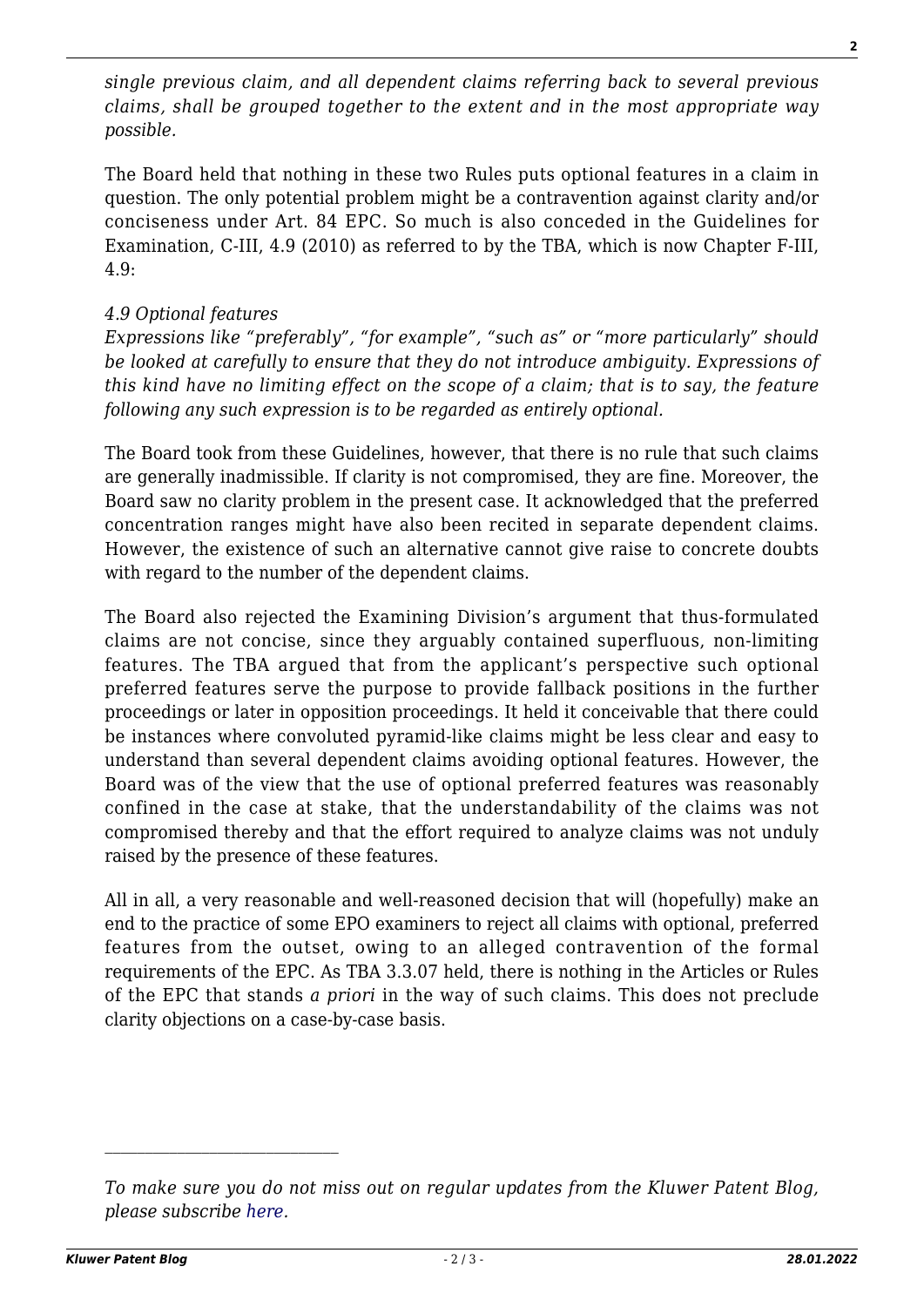*single previous claim, and all dependent claims referring back to several previous claims, shall be grouped together to the extent and in the most appropriate way possible.*

The Board held that nothing in these two Rules puts optional features in a claim in question. The only potential problem might be a contravention against clarity and/or conciseness under Art. 84 EPC. So much is also conceded in the Guidelines for Examination, C-III, 4.9 (2010) as referred to by the TBA, which is now Chapter F-III, 4.9:

#### *4.9 Optional features*

*Expressions like "preferably", "for example", "such as" or "more particularly" should be looked at carefully to ensure that they do not introduce ambiguity. Expressions of this kind have no limiting effect on the scope of a claim; that is to say, the feature following any such expression is to be regarded as entirely optional.*

The Board took from these Guidelines, however, that there is no rule that such claims are generally inadmissible. If clarity is not compromised, they are fine. Moreover, the Board saw no clarity problem in the present case. It acknowledged that the preferred concentration ranges might have also been recited in separate dependent claims. However, the existence of such an alternative cannot give raise to concrete doubts with regard to the number of the dependent claims.

The Board also rejected the Examining Division's argument that thus-formulated claims are not concise, since they arguably contained superfluous, non-limiting features. The TBA argued that from the applicant's perspective such optional preferred features serve the purpose to provide fallback positions in the further proceedings or later in opposition proceedings. It held it conceivable that there could be instances where convoluted pyramid-like claims might be less clear and easy to understand than several dependent claims avoiding optional features. However, the Board was of the view that the use of optional preferred features was reasonably confined in the case at stake, that the understandability of the claims was not compromised thereby and that the effort required to analyze claims was not unduly raised by the presence of these features.

All in all, a very reasonable and well-reasoned decision that will (hopefully) make an end to the practice of some EPO examiners to reject all claims with optional, preferred features from the outset, owing to an alleged contravention of the formal requirements of the EPC. As TBA 3.3.07 held, there is nothing in the Articles or Rules of the EPC that stands *a priori* in the way of such claims. This does not preclude clarity objections on a case-by-case basis.

*To make sure you do not miss out on regular updates from the Kluwer Patent Blog, please subscribe [here.](http://patentblog.kluweriplaw.com/newsletter)*